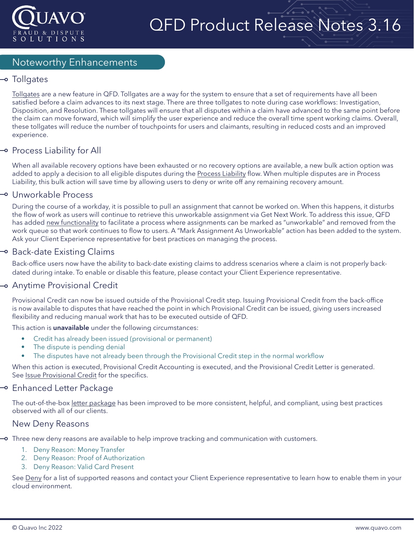

# QFD Product Release Notes 3.16

### Noteworthy Enhancements

### → Tollgates

[Tollgates](https://confluence.quavo.com/qfd-knowledgebase/public/tollgates-72943086.html) are a new feature in QFD. Tollgates are a way for the system to ensure that a set of requirements have all been satisfied before a claim advances to its next stage. There are three tollgates to note during case workflows: Investigation, Disposition, and Resolution. These tollgates will ensure that all disputes within a claim have advanced to the same point before the claim can move forward, which will simplify the user experience and reduce the overall time spent working claims. Overall, these tollgates will reduce the number of touchpoints for users and claimants, resulting in reduced costs and an improved experience.

### $\multimap$  Process Liability for All

When all available recovery options have been exhausted or no recovery options are available, a new bulk action option was added to apply a decision to all eligible disputes during the [Process Liability](https://confluence.quavo.com/qfd-knowledgebase/public/process-liability-22643639.html) flow. When multiple disputes are in Process Liability, this bulk action will save time by allowing users to deny or write off any remaining recovery amount.

#### Unworkable Process

During the course of a workday, it is possible to pull an assignment that cannot be worked on. When this happens, it disturbs the flow of work as users will continue to retrieve this unworkable assignment via Get Next Work. To address this issue, QFD has added [new functionality](https://confluence.quavo.com/qfd-knowledgebase/public/unworkable-assignments-76252706.html) to facilitate a process where assignments can be marked as "unworkable" and removed from the work queue so that work continues to flow to users. A "Mark Assignment As Unworkable" action has been added to the system. Ask your Client Experience representative for best practices on managing the process.

### → Back-date Existing Claims

Back-office users now have the ability to back-date existing claims to address scenarios where a claim is not properly backdated during intake. To enable or disable this feature, please contact your Client Experience representative.

### Anytime Provisional Credit

Provisional Credit can now be issued outside of the Provisional Credit step. Issuing Provisional Credit from the back-office is now available to disputes that have reached the point in which Provisional Credit can be issued, giving users increased flexibility and reducing manual work that has to be executed outside of QFD.

This action is **unavailable** under the following circumstances:

- Credit has already been issued (provisional or permanent)
- The dispute is pending denial
- The disputes have not already been through the Provisional Credit step in the normal workflow

When this action is executed, Provisional Credit Accounting is executed, and the Provisional Credit Letter is generated. See [Issue Provisional Credit](https://confluence.quavo.com/qfd-knowledgebase/public/issue-provisional-credit-72944194.html) for the specifics.

### → Enhanced Letter Package

The out-of-the-box [letter package](https://confluence.quavo.com/qfd-knowledgebase/public/letters-12583052.html) has been improved to be more consistent, helpful, and compliant, using best practices observed with all of our clients.

#### New Deny Reasons

Three new deny reasons are available to help improve tracking and communication with customers.

- 1. Deny Reason: Money Transfer
- 2. Deny Reason: Proof of Authorization
- 3. Deny Reason: Valid Card Present

See [Deny](https://confluence.quavo.com/qfd-knowledgebase/public/denied-12583687.html) for a list of supported reasons and contact your Client Experience representative to learn how to enable them in your cloud environment.